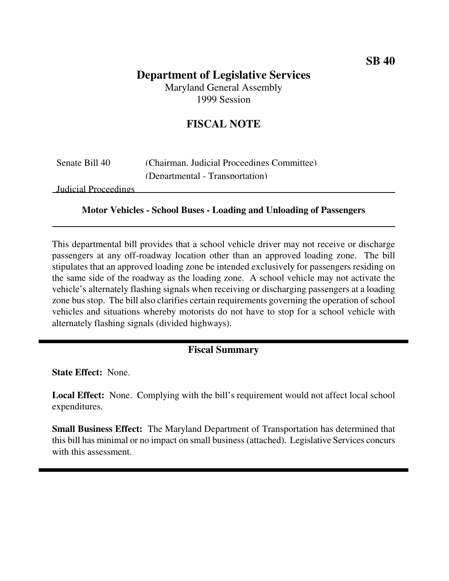# **Department of Legislative Services**

Maryland General Assembly 1999 Session

## **FISCAL NOTE**

| Senate Bill 40 | (Chairman, Judicial Proceedings Committee) |
|----------------|--------------------------------------------|
|                | (Departmental - Transportation)            |

Judicial Proceedings

#### **Motor Vehicles - School Buses - Loading and Unloading of Passengers**

This departmental bill provides that a school vehicle driver may not receive or discharge passengers at any off-roadway location other than an approved loading zone. The bill stipulates that an approved loading zone be intended exclusively for passengers residing on the same side of the roadway as the loading zone. A school vehicle may not activate the vehicle's alternately flashing signals when receiving or discharging passengers at a loading zone bus stop. The bill also clarifies certain requirements governing the operation of school vehicles and situations whereby motorists do not have to stop for a school vehicle with alternately flashing signals (divided highways).

### **Fiscal Summary**

**State Effect:** None.

**Local Effect:** None. Complying with the bill's requirement would not affect local school expenditures.

**Small Business Effect:** The Maryland Department of Transportation has determined that this bill has minimal or no impact on small business(attached). Legislative Services concurs with this assessment.